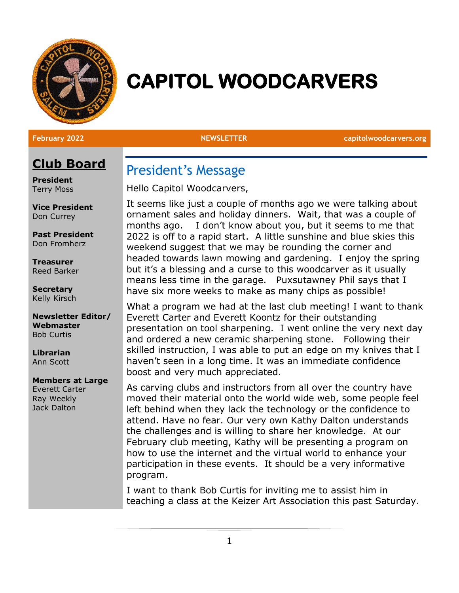

# **CAPITOL WOODCARVERS**

**February 2022 NEWSLETTER capitolwoodcarvers.org**

### **Club Board**

**President** Terry Moss

**Vice President** Don Currey

**Past President** Don Fromherz

**Treasurer** Reed Barker

**Secretary** Kelly Kirsch

**Newsletter Editor/ Webmaster** Bob Curtis

**Librarian** Ann Scott

#### **Members at Large**

Everett Carter Ray Weekly Jack Dalton

### President's Message

Hello Capitol Woodcarvers,

It seems like just a couple of months ago we were talking about ornament sales and holiday dinners. Wait, that was a couple of months ago. I don't know about you, but it seems to me that 2022 is off to a rapid start. A little sunshine and blue skies this weekend suggest that we may be rounding the corner and headed towards lawn mowing and gardening. I enjoy the spring but it's a blessing and a curse to this woodcarver as it usually means less time in the garage. Puxsutawney Phil says that I have six more weeks to make as many chips as possible!

What a program we had at the last club meeting! I want to thank Everett Carter and Everett Koontz for their outstanding presentation on tool sharpening. I went online the very next day and ordered a new ceramic sharpening stone. Following their skilled instruction, I was able to put an edge on my knives that I haven't seen in a long time. It was an immediate confidence boost and very much appreciated.

As carving clubs and instructors from all over the country have moved their material onto the world wide web, some people feel left behind when they lack the technology or the confidence to attend. Have no fear. Our very own Kathy Dalton understands the challenges and is willing to share her knowledge. At our February club meeting, Kathy will be presenting a program on how to use the internet and the virtual world to enhance your participation in these events. It should be a very informative program.

I want to thank Bob Curtis for inviting me to assist him in teaching a class at the Keizer Art Association this past Saturday.

1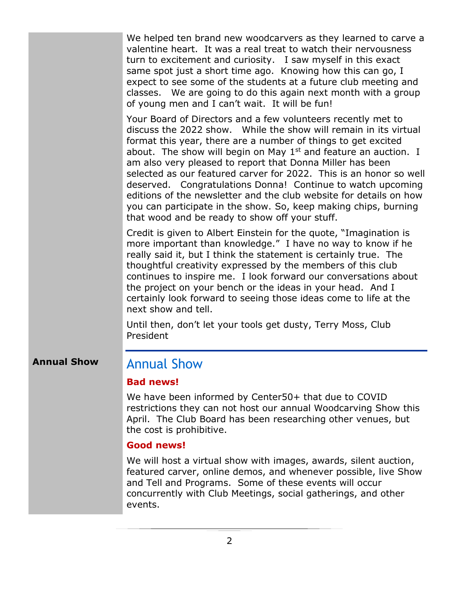We helped ten brand new woodcarvers as they learned to carve a valentine heart. It was a real treat to watch their nervousness turn to excitement and curiosity. I saw myself in this exact same spot just a short time ago. Knowing how this can go, I expect to see some of the students at a future club meeting and classes. We are going to do this again next month with a group of young men and I can't wait. It will be fun!

Your Board of Directors and a few volunteers recently met to discuss the 2022 show. While the show will remain in its virtual format this year, there are a number of things to get excited about. The show will begin on May  $1<sup>st</sup>$  and feature an auction. I am also very pleased to report that Donna Miller has been selected as our featured carver for 2022. This is an honor so well deserved. Congratulations Donna! Continue to watch upcoming editions of the newsletter and the club website for details on how you can participate in the show. So, keep making chips, burning that wood and be ready to show off your stuff.

Credit is given to Albert Einstein for the quote, "Imagination is more important than knowledge." I have no way to know if he really said it, but I think the statement is certainly true. The thoughtful creativity expressed by the members of this club continues to inspire me. I look forward our conversations about the project on your bench or the ideas in your head. And I certainly look forward to seeing those ideas come to life at the next show and tell.

Until then, don't let your tools get dusty, Terry Moss, Club President

#### **Annual Show** Annual Show

#### **Bad news!**

We have been informed by Center50+ that due to COVID restrictions they can not host our annual Woodcarving Show this April. The Club Board has been researching other venues, but the cost is prohibitive.

#### **Good news!**

We will host a virtual show with images, awards, silent auction, featured carver, online demos, and whenever possible, live Show and Tell and Programs. Some of these events will occur concurrently with Club Meetings, social gatherings, and other events.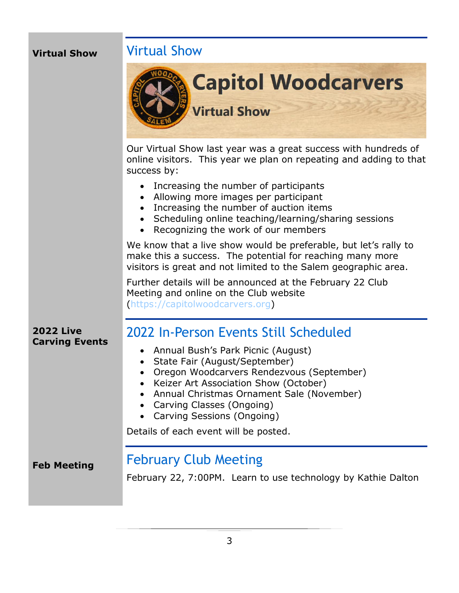### **Virtual Show**

### Virtual Show



Our Virtual Show last year was a great success with hundreds of online visitors. This year we plan on repeating and adding to that success by:

- Increasing the number of participants
- Allowing more images per participant
- Increasing the number of auction items
- Scheduling online teaching/learning/sharing sessions
- Recognizing the work of our members

We know that a live show would be preferable, but let's rally to make this a success. The potential for reaching many more visitors is great and not limited to the Salem geographic area.

Further details will be announced at the February 22 Club Meeting and online on the Club website [\(https://capitolwoodcarvers.org\)](https://capitolwoodcarvers.org/)

#### **2022 Live Carving Events**

## 2022 In-Person Events Still Scheduled

- Annual Bush's Park Picnic (August)
- State Fair (August/September)
- Oregon Woodcarvers Rendezvous (September)
- Keizer Art Association Show (October)
- Annual Christmas Ornament Sale (November)
- Carving Classes (Ongoing)
- Carving Sessions (Ongoing)

Details of each event will be posted.

**Feb Meeting**

### February Club Meeting

February 22, 7:00PM. Learn to use technology by Kathie Dalton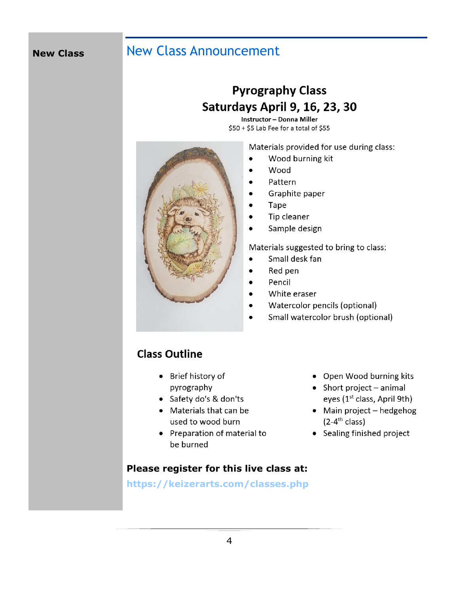#### **New Class**

### **New Class Announcement**

### **Pyrography Class** Saturdays April 9, 16, 23, 30

**Instructor - Donna Miller** \$50 + \$5 Lab Fee for a total of \$55

Materials provided for use during class:



- Wood burning kit  $\bullet$
- Wood  $\bullet$
- Pattern
- Graphite paper  $\bullet$
- Tape
- Tip cleaner  $\bullet$
- Sample design  $\bullet$

Materials suggested to bring to class:

- Small desk fan  $\bullet$
- Red pen
- Pencil  $\bullet$
- White eraser  $\bullet$
- Watercolor pencils (optional)  $\bullet$
- Small watercolor brush (optional)  $\bullet$

### **Class Outline**

- Brief history of pyrography
- Safety do's & don'ts
- Materials that can be used to wood burn
- Preparation of material to be burned

#### Please register for this live class at:

https://keizerarts.com/classes.php

- Open Wood burning kits
- Short project animal eyes (1<sup>st</sup> class, April 9th)
- Main project hedgehog  $(2-4^{\text{th}} \text{ class})$
- Sealing finished project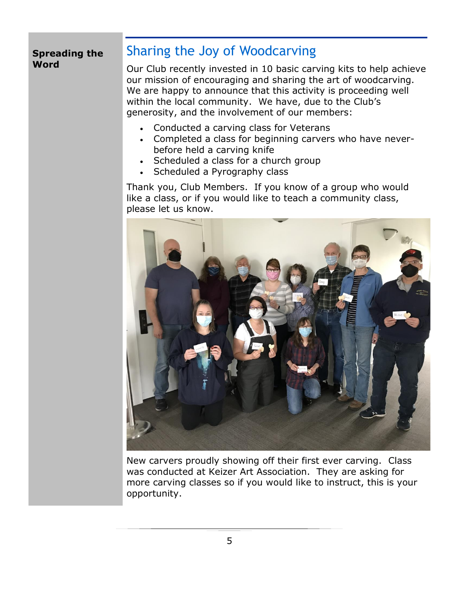#### **Spreading the Word**

### Sharing the Joy of Woodcarving

Our Club recently invested in 10 basic carving kits to help achieve our mission of encouraging and sharing the art of woodcarving. We are happy to announce that this activity is proceeding well within the local community. We have, due to the Club's generosity, and the involvement of our members:

- Conducted a carving class for Veterans
- Completed a class for beginning carvers who have neverbefore held a carving knife
- Scheduled a class for a church group
- Scheduled a Pyrography class

Thank you, Club Members. If you know of a group who would like a class, or if you would like to teach a community class, please let us know.



New carvers proudly showing off their first ever carving. Class was conducted at Keizer Art Association. They are asking for more carving classes so if you would like to instruct, this is your opportunity.